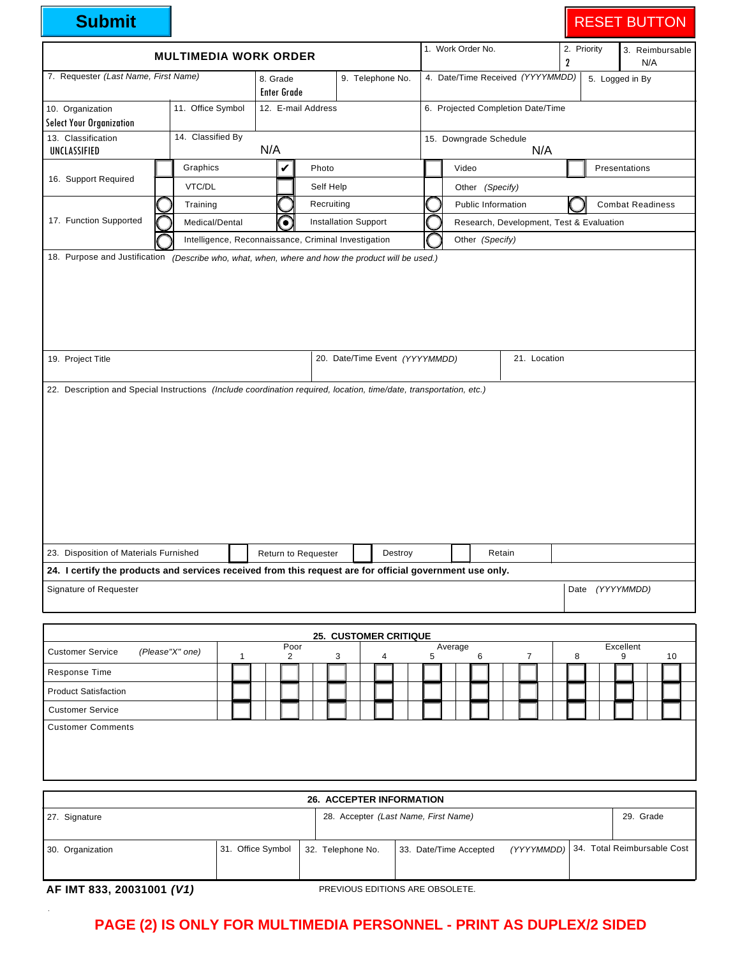| <b>Submit</b>                                                                                                                                      |                              |                                                                             |                                                      |           |   |                                      |         |                                   |                 |                                          |   |                               |                  | <b>RESET BUTTON</b> |  |                         |     |                 |               |                 |                             |  |  |
|----------------------------------------------------------------------------------------------------------------------------------------------------|------------------------------|-----------------------------------------------------------------------------|------------------------------------------------------|-----------|---|--------------------------------------|---------|-----------------------------------|-----------------|------------------------------------------|---|-------------------------------|------------------|---------------------|--|-------------------------|-----|-----------------|---------------|-----------------|-----------------------------|--|--|
|                                                                                                                                                    | <b>MULTIMEDIA WORK ORDER</b> |                                                                             |                                                      |           |   | 1. Work Order No.                    |         |                                   |                 |                                          |   |                               | 2. Priority<br>2 |                     |  |                         | N/A | 3. Reimbursable |               |                 |                             |  |  |
| 7. Requester (Last Name, First Name)                                                                                                               | <b>Enter Grade</b>           |                                                                             | 4. Date/Time Received (YYYYMMDD)<br>9. Telephone No. |           |   |                                      |         |                                   |                 |                                          |   |                               |                  |                     |  | 5. Logged in By         |     |                 |               |                 |                             |  |  |
| 10. Organization                                                                                                                                   | 11. Office Symbol            |                                                                             | 12. E-mail Address                                   |           |   |                                      |         | 6. Projected Completion Date/Time |                 |                                          |   |                               |                  |                     |  |                         |     |                 |               |                 |                             |  |  |
| <b>Select Your Organization</b><br>13. Classification                                                                                              | 14. Classified By            |                                                                             |                                                      |           |   |                                      |         |                                   |                 |                                          |   |                               |                  |                     |  |                         |     |                 |               |                 |                             |  |  |
| UNCLASSIFIED                                                                                                                                       |                              | N/A                                                                         |                                                      |           |   |                                      |         |                                   |                 |                                          |   | 15. Downgrade Schedule<br>N/A |                  |                     |  |                         |     |                 |               |                 |                             |  |  |
|                                                                                                                                                    | Graphics                     |                                                                             | V                                                    | Photo     |   |                                      |         |                                   |                 | Video                                    |   |                               |                  |                     |  |                         |     |                 | Presentations |                 |                             |  |  |
| 16. Support Required                                                                                                                               | VTC/DL                       |                                                                             |                                                      | Self Help |   |                                      |         | Other (Specify)                   |                 |                                          |   |                               |                  |                     |  |                         |     |                 |               |                 |                             |  |  |
|                                                                                                                                                    |                              | Training                                                                    |                                                      |           |   | Recruiting                           |         |                                   |                 | Public Information                       |   |                               |                  |                     |  | <b>Combat Readiness</b> |     |                 |               |                 |                             |  |  |
| 17. Function Supported                                                                                                                             |                              | €<br>Medical/Dental<br>Intelligence, Reconnaissance, Criminal Investigation |                                                      |           |   | <b>Installation Support</b>          |         |                                   |                 | Research, Development, Test & Evaluation |   |                               |                  |                     |  |                         |     |                 |               |                 |                             |  |  |
| 18. Purpose and Justification (Describe who, what, when, where and how the product will be used.)                                                  |                              |                                                                             |                                                      |           |   |                                      |         |                                   | Other (Specify) |                                          |   |                               |                  |                     |  |                         |     |                 |               |                 |                             |  |  |
| 22. Description and Special Instructions (Include coordination required, location, time/date, transportation, etc.)                                |                              |                                                                             |                                                      |           |   |                                      |         |                                   |                 |                                          |   |                               |                  |                     |  |                         |     |                 |               |                 |                             |  |  |
| 23. Disposition of Materials Furnished<br>24. I certify the products and services received from this request are for official government use only. |                              |                                                                             | Return to Requester                                  |           |   |                                      | Destroy |                                   |                 |                                          |   | Retain                        |                  |                     |  |                         |     |                 |               |                 |                             |  |  |
| Signature of Requester                                                                                                                             |                              |                                                                             |                                                      |           |   |                                      |         |                                   |                 |                                          |   |                               |                  |                     |  |                         |     |                 |               | Date (YYYYMMDD) |                             |  |  |
|                                                                                                                                                    |                              |                                                                             |                                                      |           |   |                                      |         |                                   |                 |                                          |   |                               |                  |                     |  |                         |     |                 |               |                 |                             |  |  |
|                                                                                                                                                    |                              |                                                                             |                                                      |           |   |                                      |         |                                   |                 |                                          |   |                               |                  |                     |  |                         |     |                 |               |                 |                             |  |  |
|                                                                                                                                                    |                              |                                                                             | Poor                                                 |           |   | 25. CUSTOMER CRITIQUE                |         |                                   | Average         |                                          |   |                               |                  |                     |  |                         |     |                 | Excellent     |                 |                             |  |  |
| <b>Customer Service</b>                                                                                                                            | (Please"X" one)              | $\mathbf{1}$                                                                | 2                                                    |           | 3 | 4                                    |         | 5                                 |                 |                                          | 6 |                               |                  | $\overline{7}$      |  | 8                       |     |                 | 9             |                 | 10                          |  |  |
| Response Time                                                                                                                                      |                              |                                                                             |                                                      |           |   |                                      |         |                                   |                 |                                          |   |                               |                  |                     |  |                         |     |                 |               |                 |                             |  |  |
| <b>Product Satisfaction</b>                                                                                                                        |                              |                                                                             |                                                      |           |   |                                      |         |                                   |                 |                                          |   |                               |                  |                     |  |                         |     |                 |               |                 |                             |  |  |
| <b>Customer Service</b>                                                                                                                            |                              |                                                                             |                                                      |           |   |                                      |         |                                   |                 |                                          |   |                               |                  |                     |  |                         |     |                 |               |                 |                             |  |  |
| <b>Customer Comments</b>                                                                                                                           |                              |                                                                             |                                                      |           |   |                                      |         |                                   |                 |                                          |   |                               |                  |                     |  |                         |     |                 |               |                 |                             |  |  |
|                                                                                                                                                    |                              |                                                                             |                                                      |           |   | <b>26. ACCEPTER INFORMATION</b>      |         |                                   |                 |                                          |   |                               |                  |                     |  |                         |     |                 |               |                 |                             |  |  |
| 27. Signature                                                                                                                                      |                              |                                                                             |                                                      |           |   | 28. Accepter (Last Name, First Name) |         |                                   |                 |                                          |   |                               |                  |                     |  |                         |     |                 |               | 29. Grade       |                             |  |  |
| 30. Organization                                                                                                                                   |                              |                                                                             | 31. Office Symbol                                    |           |   | 32. Telephone No.                    |         | 33. Date/Time Accepted            |                 |                                          |   |                               |                  | (YYYYMMDD)          |  |                         |     |                 |               |                 | 34. Total Reimbursable Cost |  |  |

**AF IMT 833, 20031001 (V1)** PREVIOUS EDITIONS ARE OBSOLETE.

## **PAGE (2) IS ONLY FOR MULTIMEDIA PERSONNEL - PRINT AS DUPLEX/2 SIDED**